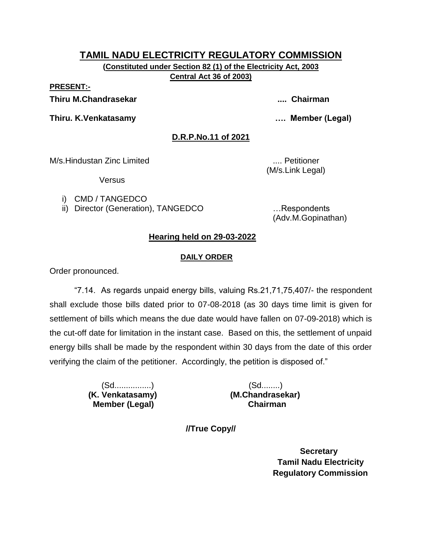**(Constituted under Section 82 (1) of the Electricity Act, 2003 Central Act 36 of 2003)**

**PRESENT:-**

**Thiru M.Chandrasekar .... Chairman**

**Thiru. K.Venkatasamy …. Member (Legal)**

**D.R.P.No.11 of 2021**

M/s.Hindustan Zinc Limited .... Petitioner

(M/s.Link Legal)

**Versus** 

i) CMD / TANGEDCO

ii) Director (Generation), TANGEDCO ... Respondents

(Adv.M.Gopinathan)

# **Hearing held on 29-03-2022**

# **DAILY ORDER**

Order pronounced.

"7.14. As regards unpaid energy bills, valuing Rs.21,71,75,407/- the respondent shall exclude those bills dated prior to 07-08-2018 (as 30 days time limit is given for settlement of bills which means the due date would have fallen on 07-09-2018) which is the cut-off date for limitation in the instant case. Based on this, the settlement of unpaid energy bills shall be made by the respondent within 30 days from the date of this order verifying the claim of the petitioner. Accordingly, the petition is disposed of."

> (Sd................) (Sd........)  **Member (Legal) Chairman**

 **(K. Venkatasamy) (M.Chandrasekar)**

**//True Copy//**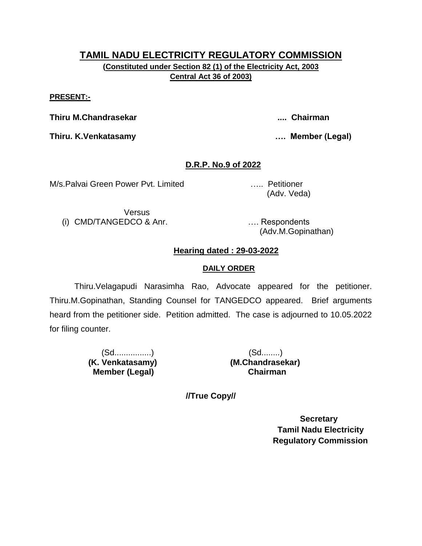**(Constituted under Section 82 (1) of the Electricity Act, 2003 Central Act 36 of 2003)**

#### **PRESENT:-**

**Thiru M.Chandrasekar .... Chairman**

**Thiru. K.Venkatasamy …. Member (Legal)**

# **D.R.P. No.9 of 2022**

M/s.Palvai Green Power Pvt. Limited ….. Petitioner

(Adv. Veda)

Versus (i) CMD/TANGEDCO & Anr. …. Respondents

(Adv.M.Gopinathan)

# **Hearing dated : 29-03-2022**

# **DAILY ORDER**

Thiru.Velagapudi Narasimha Rao, Advocate appeared for the petitioner. Thiru.M.Gopinathan, Standing Counsel for TANGEDCO appeared. Brief arguments heard from the petitioner side. Petition admitted. The case is adjourned to 10.05.2022 for filing counter.

> (Sd................) (Sd........)  **Member (Legal) Chairman**

 **(K. Venkatasamy) (M.Chandrasekar)**

**//True Copy//**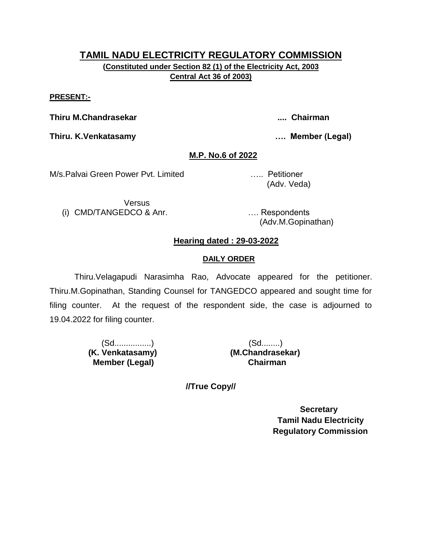# **TAMIL NADU ELECTRICITY REGULATORY COMMISSION (Constituted under Section 82 (1) of the Electricity Act, 2003 Central Act 36 of 2003)**

#### **PRESENT:-**

**Thiru M.Chandrasekar .... Chairman**

**Thiru. K.Venkatasamy …. Member (Legal)**

#### **M.P. No.6 of 2022**

M/s.Palvai Green Power Pvt. Limited ….. Petitioner

Versus (i) CMD/TANGEDCO & Anr. …. Respondents

(Adv. Veda)

(Adv.M.Gopinathan)

#### **Hearing dated : 29-03-2022**

#### **DAILY ORDER**

Thiru.Velagapudi Narasimha Rao, Advocate appeared for the petitioner. Thiru.M.Gopinathan, Standing Counsel for TANGEDCO appeared and sought time for filing counter. At the request of the respondent side, the case is adjourned to 19.04.2022 for filing counter.

> (Sd................) (Sd........)  **Member (Legal) Chairman**

 **(K. Venkatasamy) (M.Chandrasekar)**

**//True Copy//**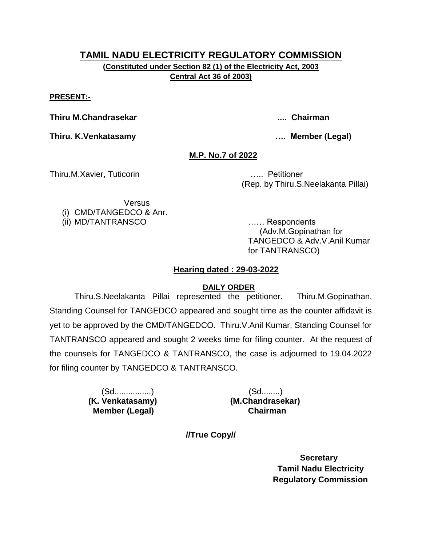**(Constituted under Section 82 (1) of the Electricity Act, 2003 Central Act 36 of 2003)**

**PRESENT:-**

**Thiru M.Chandrasekar .... Chairman**

**Thiru. K.Venkatasamy …. Member (Legal)**

# **M.P. No.7 of 2022**

Thiru.M.Xavier, Tuticorin ….. Petitioner

(Rep. by Thiru.S.Neelakanta Pillai)

Versus (i) CMD/TANGEDCO & Anr.

(ii) MD/TANTRANSCO …… Respondents (Adv.M.Gopinathan for TANGEDCO & Adv.V.Anil Kumar for TANTRANSCO)

# **Hearing dated : 29-03-2022**

# **DAILY ORDER**

Thiru.S.Neelakanta Pillai represented the petitioner. Thiru.M.Gopinathan, Standing Counsel for TANGEDCO appeared and sought time as the counter affidavit is yet to be approved by the CMD/TANGEDCO. Thiru.V.Anil Kumar, Standing Counsel for TANTRANSCO appeared and sought 2 weeks time for filing counter. At the request of the counsels for TANGEDCO & TANTRANSCO, the case is adjourned to 19.04.2022 for filing counter by TANGEDCO & TANTRANSCO.

> (Sd................) (Sd........)  **Member (Legal) Chairman**

 **(K. Venkatasamy) (M.Chandrasekar)**

**//True Copy//**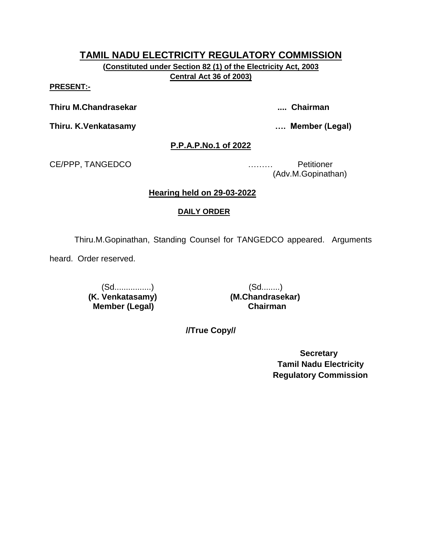**(Constituted under Section 82 (1) of the Electricity Act, 2003 Central Act 36 of 2003)**

**PRESENT:-**

**Thiru M.Chandrasekar .... Chairman**

**Thiru. K.Venkatasamy …. Member (Legal)**

#### **P.P.A.P.No.1 of 2022**

CE/PPP, TANGEDCO ……… Petitioner

(Adv.M.Gopinathan)

# **Hearing held on 29-03-2022**

#### **DAILY ORDER**

Thiru.M.Gopinathan, Standing Counsel for TANGEDCO appeared. Arguments

heard. Order reserved.

**(K. Venkatasamy) Member (Legal) Chairman**

(Sd................)<br> **Venkatasamy)** (M.Chandrasekar)

**//True Copy//**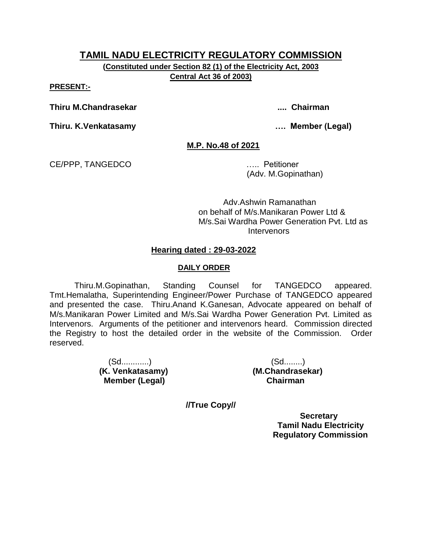**(Constituted under Section 82 (1) of the Electricity Act, 2003 Central Act 36 of 2003)**

**PRESENT:-**

**Thiru M.Chandrasekar .... Chairman**

**Thiru. K.Venkatasamy …. Member (Legal)**

**M.P. No.48 of 2021**

CE/PPP, TANGEDCO ….. Petitioner

(Adv. M.Gopinathan)

Adv.Ashwin Ramanathan on behalf of M/s.Manikaran Power Ltd & M/s.Sai Wardha Power Generation Pvt. Ltd as **Intervenors** 

#### **Hearing dated : 29-03-2022**

#### **DAILY ORDER**

Thiru.M.Gopinathan, Standing Counsel for TANGEDCO appeared. Tmt.Hemalatha, Superintending Engineer/Power Purchase of TANGEDCO appeared and presented the case. Thiru.Anand K.Ganesan, Advocate appeared on behalf of M/s.Manikaran Power Limited and M/s.Sai Wardha Power Generation Pvt. Limited as Intervenors. Arguments of the petitioner and intervenors heard. Commission directed the Registry to host the detailed order in the website of the Commission. Order reserved.

> (Sd............) (Sd........) **(K. Venkatasamy) (M.Chandrasekar) Member (Legal) Chairman**

**//True Copy//**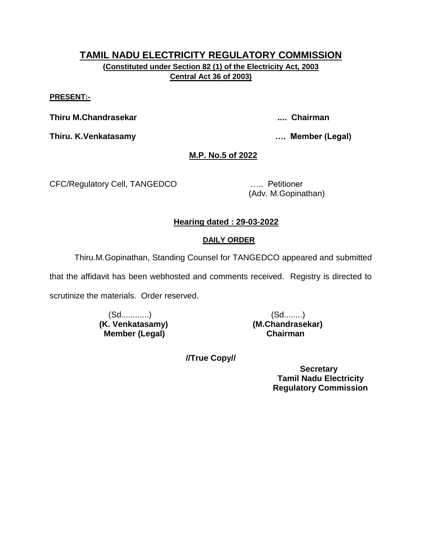# **TAMIL NADU ELECTRICITY REGULATORY COMMISSION (Constituted under Section 82 (1) of the Electricity Act, 2003 Central Act 36 of 2003)**

#### **PRESENT:-**

**Thiru M.Chandrasekar .... Chairman**

**Thiru. K.Venkatasamy …. Member (Legal)**

# **M.P. No.5 of 2022**

CFC/Regulatory Cell, TANGEDCO ….. Petitioner

(Adv. M.Gopinathan)

# **Hearing dated : 29-03-2022**

#### **DAILY ORDER**

Thiru.M.Gopinathan, Standing Counsel for TANGEDCO appeared and submitted

that the affidavit has been webhosted and comments received. Registry is directed to scrutinize the materials. Order reserved.

> (Sd............) (Sd........) **(K. Venkatasamy) (M.Chandrasekar) Member (Legal) Chairman**

**//True Copy//**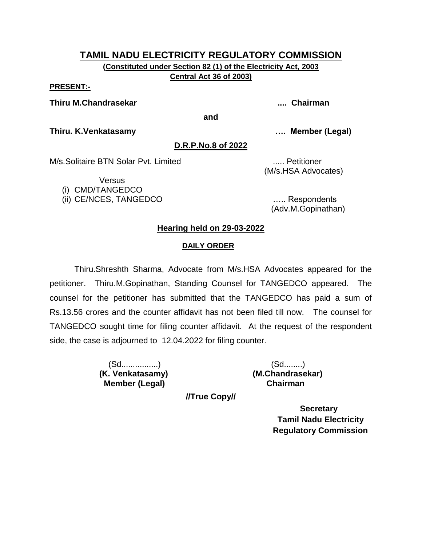**(Constituted under Section 82 (1) of the Electricity Act, 2003 Central Act 36 of 2003)**

#### **PRESENT:-**

**Thiru M.Chandrasekar .... Chairman**

**and**

**Thiru. K.Venkatasamy …. Member (Legal)**

#### **D.R.P.No.8 of 2022**

M/s.Solitaire BTN Solar Pyt. Limited **Example 2018** 1.... Petitioner

**Versus** 

(i) CMD/TANGEDCO

(ii) CE/NCES, TANGEDCO ….. Respondents

(M/s.HSA Advocates)

(Adv.M.Gopinathan)

# **Hearing held on 29-03-2022**

# **DAILY ORDER**

Thiru.Shreshth Sharma, Advocate from M/s.HSA Advocates appeared for the petitioner. Thiru.M.Gopinathan, Standing Counsel for TANGEDCO appeared. The counsel for the petitioner has submitted that the TANGEDCO has paid a sum of Rs.13.56 crores and the counter affidavit has not been filed till now. The counsel for TANGEDCO sought time for filing counter affidavit. At the request of the respondent side, the case is adjourned to 12.04.2022 for filing counter.

> (Sd................) (Sd........) **(K. Venkatasamy) (M.Chandrasekar) Member (Legal) Chairman**

**//True Copy//**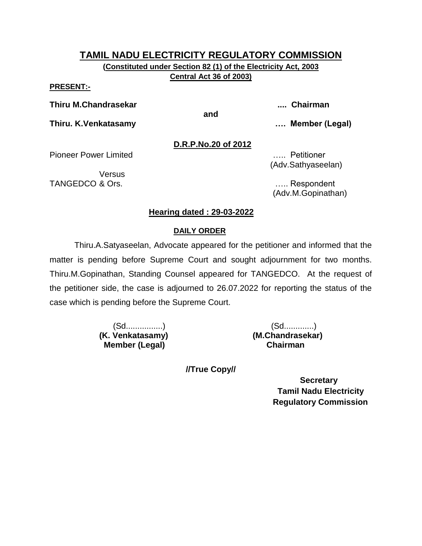**(Constituted under Section 82 (1) of the Electricity Act, 2003 Central Act 36 of 2003)**

#### **PRESENT:-**

**Thiru M.Chandrasekar .... Chairman**

**and**

**Thiru. K.Venkatasamy …. Member (Legal)**

**D.R.P.No.20 of 2012**

Pioneer Power Limited ….. Petitioner

Versus TANGEDCO & Ors. **Example 20** and the contract of the contract of the contract of the contract of the contract of the contract of the contract of the contract of the contract of the contract of the contract of the contract

(Adv.Sathyaseelan)

(Adv.M.Gopinathan)

#### **Hearing dated : 29-03-2022**

#### **DAILY ORDER**

Thiru.A.Satyaseelan, Advocate appeared for the petitioner and informed that the matter is pending before Supreme Court and sought adjournment for two months. Thiru.M.Gopinathan, Standing Counsel appeared for TANGEDCO. At the request of the petitioner side, the case is adjourned to 26.07.2022 for reporting the status of the case which is pending before the Supreme Court.

 **Member (Legal) Chairman**

 (Sd................) (Sd.............) **(K. Venkatasamy) (M.Chandrasekar)**

**//True Copy//**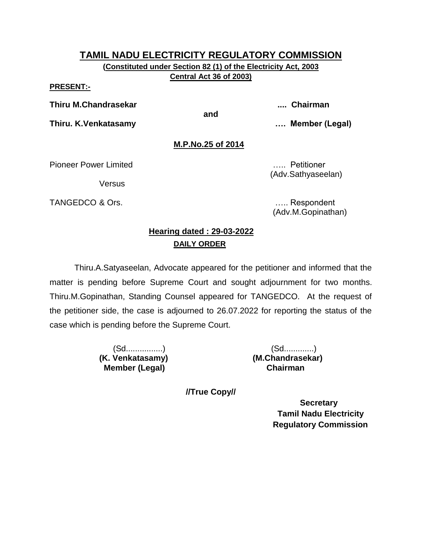**(Constituted under Section 82 (1) of the Electricity Act, 2003 Central Act 36 of 2003)**

#### **PRESENT:-**

**Thiru M.Chandrasekar .... Chairman**

**and**

**Thiru. K.Venkatasamy …. Member (Legal)**

# **M.P.No.25 of 2014**

Pioneer Power Limited ….. Petitioner

**Versus** 

TANGEDCO & Ors. **Example 20** and the contract of the contract of the contract of the contract of the contract of the contract of the contract of the contract of the contract of the contract of the contract of the contract

(Adv.M.Gopinathan)

(Adv.Sathyaseelan)

# **Hearing dated : 29-03-2022 DAILY ORDER**

Thiru.A.Satyaseelan, Advocate appeared for the petitioner and informed that the matter is pending before Supreme Court and sought adjournment for two months. Thiru.M.Gopinathan, Standing Counsel appeared for TANGEDCO. At the request of the petitioner side, the case is adjourned to 26.07.2022 for reporting the status of the case which is pending before the Supreme Court.

> **(K. Venkatasamy) (M.Chandrasekar) Member (Legal) Chairman**

(Sd................) (Sd.............)

**//True Copy//**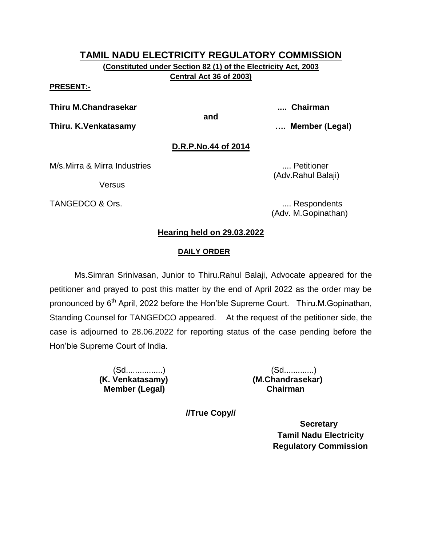**(Constituted under Section 82 (1) of the Electricity Act, 2003 Central Act 36 of 2003)**

#### **PRESENT:-**

**Thiru M.Chandrasekar .... Chairman**

**and**

**Thiru. K.Venkatasamy …. Member (Legal)**

#### **D.R.P.No.44 of 2014**

M/s.Mirra & Mirra Industries .... Petitioner

Versus

TANGEDCO & Ors.  $\qquad \qquad \ldots$  Respondents

(Adv.Rahul Balaji)

(Adv. M.Gopinathan)

#### **Hearing held on 29.03.2022**

#### **DAILY ORDER**

Ms.Simran Srinivasan, Junior to Thiru.Rahul Balaji, Advocate appeared for the petitioner and prayed to post this matter by the end of April 2022 as the order may be pronounced by 6<sup>th</sup> April, 2022 before the Hon'ble Supreme Court. Thiru.M.Gopinathan, Standing Counsel for TANGEDCO appeared. At the request of the petitioner side, the case is adjourned to 28.06.2022 for reporting status of the case pending before the Hon'ble Supreme Court of India.

 **Member (Legal) Chairman**

 (Sd................) (Sd.............) **(K. Venkatasamy) (M.Chandrasekar)**

**//True Copy//**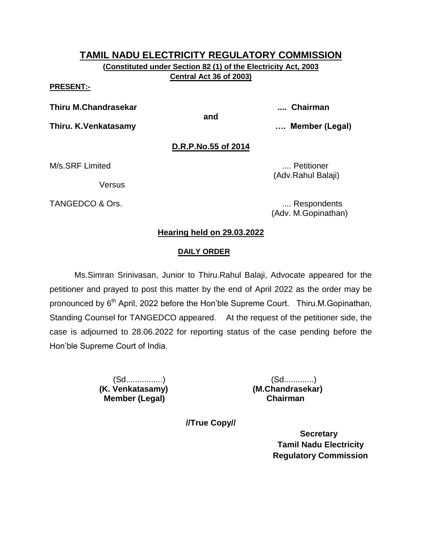**(Constituted under Section 82 (1) of the Electricity Act, 2003 Central Act 36 of 2003)**

**PRESENT:-**

**Thiru M.Chandrasekar .... Chairman**

**and**

**Thiru. K.Venkatasamy …. Member (Legal)**

# **D.R.P.No.55 of 2014**

M/s.SRF Limited .... **M** ... Petitioner

Versus

TANGEDCO & Ors.  $\qquad \qquad \ldots$  Respondents

(Adv.Rahul Balaji)

(Adv. M.Gopinathan)

#### **Hearing held on 29.03.2022**

#### **DAILY ORDER**

Ms.Simran Srinivasan, Junior to Thiru.Rahul Balaji, Advocate appeared for the petitioner and prayed to post this matter by the end of April 2022 as the order may be pronounced by 6<sup>th</sup> April, 2022 before the Hon'ble Supreme Court. Thiru.M.Gopinathan, Standing Counsel for TANGEDCO appeared. At the request of the petitioner side, the case is adjourned to 28.06.2022 for reporting status of the case pending before the Hon'ble Supreme Court of India.

 **Member (Legal) Chairman**

 (Sd................) (Sd.............) **(K. Venkatasamy) (M.Chandrasekar)**

**//True Copy//**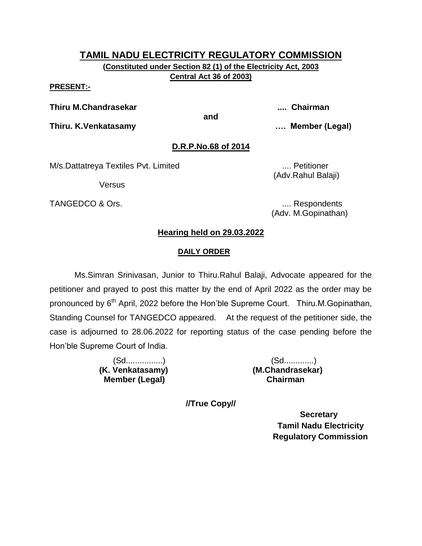**(Constituted under Section 82 (1) of the Electricity Act, 2003 Central Act 36 of 2003)**

#### **PRESENT:-**

**Thiru M.Chandrasekar .... Chairman**

**and**

**Thiru. K.Venkatasamy …. Member (Legal)**

#### **D.R.P.No.68 of 2014**

M/s.Dattatreya Textiles Pvt. Limited **Michael 2018** .... Petitioner

Versus

TANGEDCO & Ors.  $\qquad \qquad \ldots$  Respondents

(Adv.Rahul Balaji)

(Adv. M.Gopinathan)

#### **Hearing held on 29.03.2022**

#### **DAILY ORDER**

Ms.Simran Srinivasan, Junior to Thiru.Rahul Balaji, Advocate appeared for the petitioner and prayed to post this matter by the end of April 2022 as the order may be pronounced by 6<sup>th</sup> April, 2022 before the Hon'ble Supreme Court. Thiru.M.Gopinathan, Standing Counsel for TANGEDCO appeared. At the request of the petitioner side, the case is adjourned to 28.06.2022 for reporting status of the case pending before the Hon'ble Supreme Court of India.

 **Member (Legal) Chairman**

 (Sd................) (Sd.............) **(K. Venkatasamy) (M.Chandrasekar)**

**//True Copy//**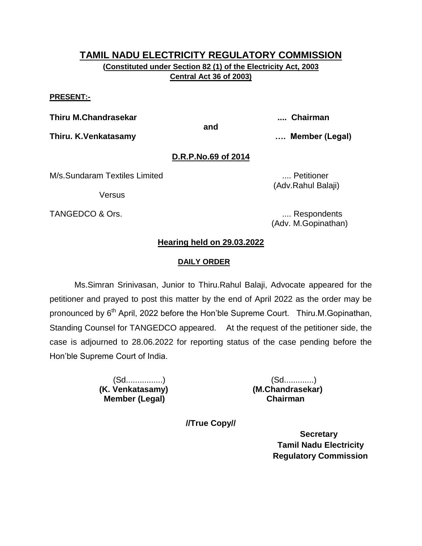**(Constituted under Section 82 (1) of the Electricity Act, 2003 Central Act 36 of 2003)**

#### **PRESENT:-**

**Thiru M.Chandrasekar .... Chairman**

**and**

**Thiru. K.Venkatasamy …. Member (Legal)**

# **D.R.P.No.69 of 2014**

M/s.Sundaram Textiles Limited .... Petitioner

Versus

(Adv.Rahul Balaji)

TANGEDCO & Ors. .... Respondents (Adv. M.Gopinathan)

# **Hearing held on 29.03.2022**

#### **DAILY ORDER**

Ms.Simran Srinivasan, Junior to Thiru.Rahul Balaji, Advocate appeared for the petitioner and prayed to post this matter by the end of April 2022 as the order may be pronounced by 6<sup>th</sup> April, 2022 before the Hon'ble Supreme Court. Thiru.M.Gopinathan, Standing Counsel for TANGEDCO appeared. At the request of the petitioner side, the case is adjourned to 28.06.2022 for reporting status of the case pending before the Hon'ble Supreme Court of India.

 **Member (Legal) Chairman**

 (Sd................) (Sd.............) **(K. Venkatasamy) (M.Chandrasekar)**

**//True Copy//**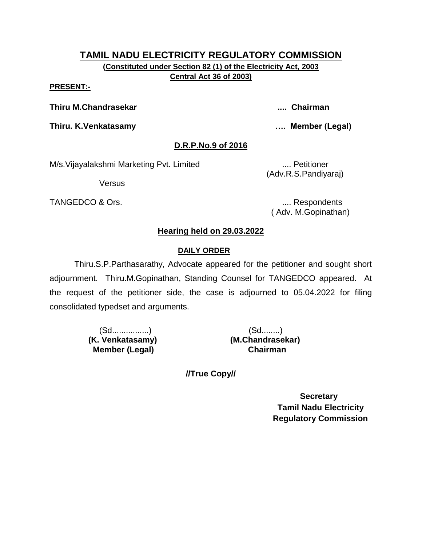**(Constituted under Section 82 (1) of the Electricity Act, 2003 Central Act 36 of 2003)**

#### **PRESENT:-**

**Thiru M.Chandrasekar .... Chairman**

**Thiru. K.Venkatasamy …. Member (Legal)**

# **D.R.P.No.9 of 2016**

M/s. Vijayalakshmi Marketing Pvt. Limited .... Petitioner

Versus

TANGEDCO & Ors. .... Respondents

(Adv.R.S.Pandiyaraj)

( Adv. M.Gopinathan)

# **Hearing held on 29.03.2022**

# **DAILY ORDER**

Thiru.S.P.Parthasarathy, Advocate appeared for the petitioner and sought short adjournment. Thiru.M.Gopinathan, Standing Counsel for TANGEDCO appeared. At the request of the petitioner side, the case is adjourned to 05.04.2022 for filing consolidated typedset and arguments.

> (Sd................) (Sd........)  **(K. Venkatasamy) (M.Chandrasekar) Member (Legal) Chairman**

**//True Copy//**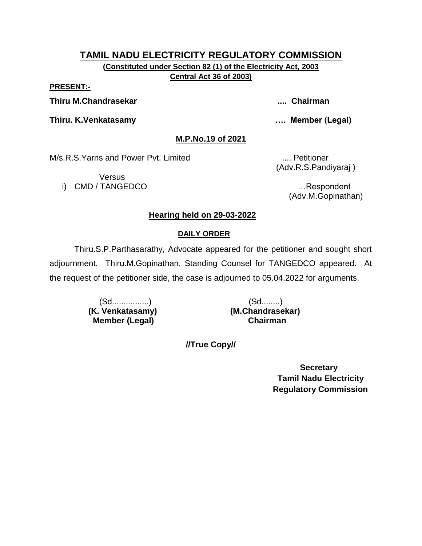**(Constituted under Section 82 (1) of the Electricity Act, 2003 Central Act 36 of 2003)**

**PRESENT:-**

**Thiru M.Chandrasekar .... Chairman**

**Thiru. K.Venkatasamy …. Member (Legal)**

**M.P.No.19 of 2021**

M/s.R.S.Yarns and Power Pvt. Limited .... Petitioner

**Versus** i) CMD / TANGEDCO **intervaluation and the contract of the contract of the contract of the contract of the contract of the contract of the contract of the contract of the contract of the contract of the contract of the cont** 

(Adv.R.S.Pandiyaraj )

(Adv.M.Gopinathan)

# **Hearing held on 29-03-2022**

# **DAILY ORDER**

Thiru.S.P.Parthasarathy, Advocate appeared for the petitioner and sought short adjournment. Thiru.M.Gopinathan, Standing Counsel for TANGEDCO appeared. At the request of the petitioner side, the case is adjourned to 05.04.2022 for arguments.

> (Sd................) (Sd........)  **Member (Legal) Chairman**

 **(K. Venkatasamy) (M.Chandrasekar)**

**//True Copy//**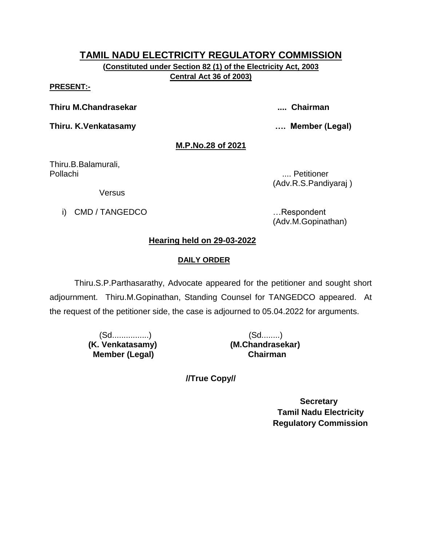**(Constituted under Section 82 (1) of the Electricity Act, 2003 Central Act 36 of 2003)**

#### **PRESENT:-**

**Thiru M.Chandrasekar .... Chairman**

**Thiru. K.Venkatasamy …. Member (Legal)**

#### **M.P.No.28 of 2021**

Thiru.B.Balamurali, Pollachi .... Petitioner

(Adv.R.S.Pandiyaraj )

Versus

i) CMD / TANGEDCO **in the set of the set of the set of the set of the set of the set of the set of the set of the set of the set of the set of the set of the set of the set of the set of the set of the set of the set of th** 

(Adv.M.Gopinathan)

# **Hearing held on 29-03-2022**

# **DAILY ORDER**

Thiru.S.P.Parthasarathy, Advocate appeared for the petitioner and sought short adjournment. Thiru.M.Gopinathan, Standing Counsel for TANGEDCO appeared. At the request of the petitioner side, the case is adjourned to 05.04.2022 for arguments.

> (Sd................) (Sd........)  **Member (Legal) Chairman**

 **(K. Venkatasamy) (M.Chandrasekar)**

**//True Copy//**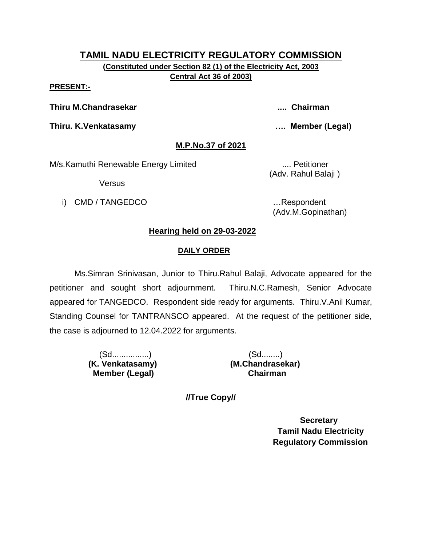# **TAMIL NADU ELECTRICITY REGULATORY COMMISSION (Constituted under Section 82 (1) of the Electricity Act, 2003**

**Central Act 36 of 2003)**

#### **PRESENT:-**

**Thiru M.Chandrasekar .... Chairman**

**Thiru. K.Venkatasamy …. Member (Legal)**

# **M.P.No.37 of 2021**

M/s.Kamuthi Renewable Energy Limited .... Petitioner

Versus

i) CMD / TANGEDCO **in the set of the set of the set of the set of the set of the set of the set of the set of the set of the set of the set of the set of the set of the set of the set of the set of the set of the set of th** 

(Adv. Rahul Balaji )

(Adv.M.Gopinathan)

# **Hearing held on 29-03-2022**

# **DAILY ORDER**

Ms.Simran Srinivasan, Junior to Thiru.Rahul Balaji, Advocate appeared for the petitioner and sought short adjournment. Thiru.N.C.Ramesh, Senior Advocate appeared for TANGEDCO. Respondent side ready for arguments. Thiru.V.Anil Kumar, Standing Counsel for TANTRANSCO appeared. At the request of the petitioner side, the case is adjourned to 12.04.2022 for arguments.

> (Sd................) (Sd........)  **Member (Legal) Chairman**

 **(K. Venkatasamy) (M.Chandrasekar)**

**//True Copy//**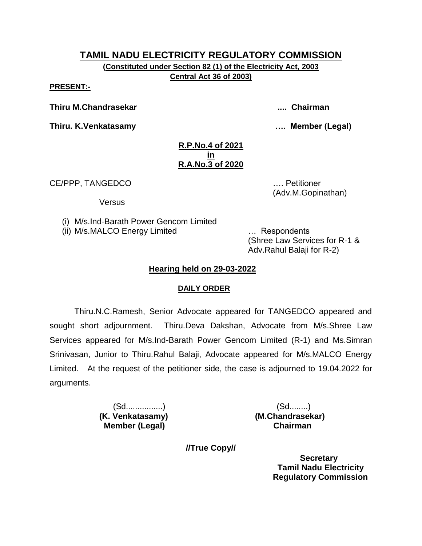**(Constituted under Section 82 (1) of the Electricity Act, 2003 Central Act 36 of 2003)**

**PRESENT:-**

**Thiru M.Chandrasekar .... Chairman**

**Thiru. K.Venkatasamy …. Member (Legal)**

#### **R.P.No.4 of 2021 in R.A.No.3 of 2020**

CE/PPP, TANGEDCO …. Petitioner

**Versus** 

(i) M/s.Ind-Barath Power Gencom Limited

(ii) M/s.MALCO Energy Limited … Respondents

(Shree Law Services for R-1 & Adv.Rahul Balaji for R-2)

(Adv.M.Gopinathan)

# **Hearing held on 29-03-2022**

# **DAILY ORDER**

Thiru.N.C.Ramesh, Senior Advocate appeared for TANGEDCO appeared and sought short adjournment. Thiru.Deva Dakshan, Advocate from M/s.Shree Law Services appeared for M/s.Ind-Barath Power Gencom Limited (R-1) and Ms.Simran Srinivasan, Junior to Thiru.Rahul Balaji, Advocate appeared for M/s.MALCO Energy Limited. At the request of the petitioner side, the case is adjourned to 19.04.2022 for arguments.

> (Sd................) (Sd........) **(K. Venkatasamy) (M.Chandrasekar) Member (Legal) Chairman**

**//True Copy//**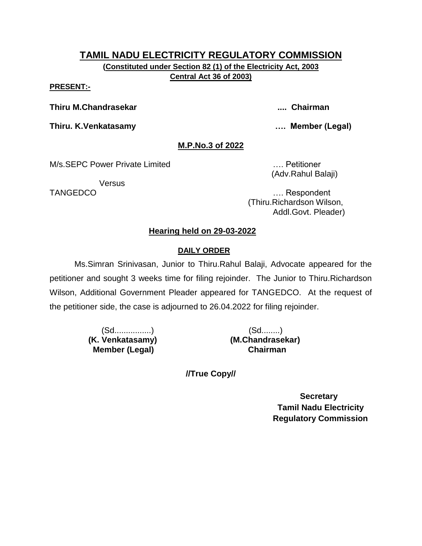**(Constituted under Section 82 (1) of the Electricity Act, 2003 Central Act 36 of 2003)**

#### **PRESENT:-**

**Thiru M.Chandrasekar .... Chairman**

**Thiru. K.Venkatasamy …. Member (Legal)**

# **M.P.No.3 of 2022**

M/s.SEPC Power Private Limited **Example 2018** Petitioner

**Versus** 

(Adv.Rahul Balaji)

TANGEDCO …. Respondent (Thiru.Richardson Wilson, Addl.Govt. Pleader)

# **Hearing held on 29-03-2022**

# **DAILY ORDER**

Ms.Simran Srinivasan, Junior to Thiru.Rahul Balaji, Advocate appeared for the petitioner and sought 3 weeks time for filing rejoinder. The Junior to Thiru.Richardson Wilson, Additional Government Pleader appeared for TANGEDCO. At the request of the petitioner side, the case is adjourned to 26.04.2022 for filing rejoinder.

> (Sd................) (Sd........)  **(K. Venkatasamy) (M.Chandrasekar) Member (Legal) Chairman**

**//True Copy//**